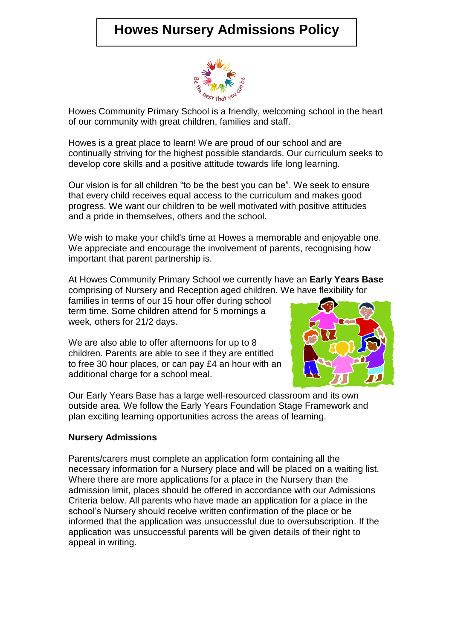# **Howes Nursery Admissions Policy**



Howes Community Primary School is a friendly, welcoming school in the heart of our community with great children, families and staff.

Howes is a great place to learn! We are proud of our school and are continually striving for the highest possible standards. Our curriculum seeks to develop core skills and a positive attitude towards life long learning.

Our vision is for all children "to be the best you can be". We seek to ensure that every child receives equal access to the curriculum and makes good progress. We want our children to be well motivated with positive attitudes and a pride in themselves, others and the school.

We wish to make your child's time at Howes a memorable and enjoyable one. We appreciate and encourage the involvement of parents, recognising how important that parent partnership is.

At Howes Community Primary School we currently have an **Early Years Base** comprising of Nursery and Reception aged children. We have flexibility for

families in terms of our 15 hour offer during school term time. Some children attend for 5 mornings a week, others for 21/2 days.

We are also able to offer afternoons for up to 8 children. Parents are able to see if they are entitled to free 30 hour places, or can pay £4 an hour with an additional charge for a school meal.



Our Early Years Base has a large well-resourced classroom and its own outside area. We follow the Early Years Foundation Stage Framework and plan exciting learning opportunities across the areas of learning.

#### **Nursery Admissions**

Parents/carers must complete an application form containing all the necessary information for a Nursery place and will be placed on a waiting list. Where there are more applications for a place in the Nursery than the admission limit, places should be offered in accordance with our Admissions Criteria below. All parents who have made an application for a place in the school's Nursery should receive written confirmation of the place or be informed that the application was unsuccessful due to oversubscription. If the application was unsuccessful parents will be given details of their right to appeal in writing.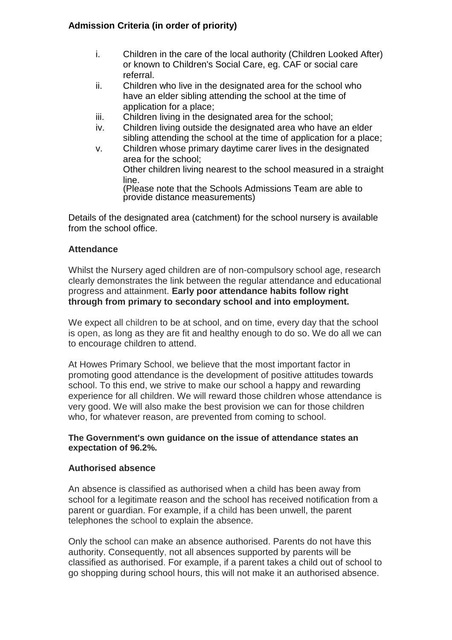# **Admission Criteria (in order of priority)**

- i. Children in the care of the local authority (Children Looked After) or known to Children's Social Care, eg. CAF or social care referral.
- ii. Children who live in the designated area for the school who have an elder sibling attending the school at the time of application for a place;
- iii. Children living in the designated area for the school;
- iv. Children living outside the designated area who have an elder sibling attending the school at the time of application for a place;
- v. Children whose primary daytime carer lives in the designated area for the school; Other children living nearest to the school measured in a straight line. (Please note that the Schools Admissions Team are able to provide distance measurements)

Details of the designated area (catchment) for the school nursery is available from the school office.

## **Attendance**

Whilst the Nursery aged children are of non-compulsory school age, research clearly demonstrates the link between the regular attendance and educational progress and attainment. **Early poor attendance habits follow right through from primary to secondary school and into employment.**

We expect all children to be at school, and on time, every day that the school is open, as long as they are fit and healthy enough to do so. We do all we can to encourage children to attend.

At Howes Primary School, we believe that the most important factor in promoting good attendance is the development of positive attitudes towards school. To this end, we strive to make our school a happy and rewarding experience for all children. We will reward those children whose attendance is very good. We will also make the best provision we can for those children who, for whatever reason, are prevented from coming to school.

#### **The Government's own guidance on the issue of attendance states an expectation of 96.2%.**

#### **Authorised absence**

An absence is classified as authorised when a child has been away from school for a legitimate reason and the school has received notification from a parent or guardian. For example, if a child has been unwell, the parent telephones the school to explain the absence.

Only the school can make an absence authorised. Parents do not have this authority. Consequently, not all absences supported by parents will be classified as authorised. For example, if a parent takes a child out of school to go shopping during school hours, this will not make it an authorised absence.